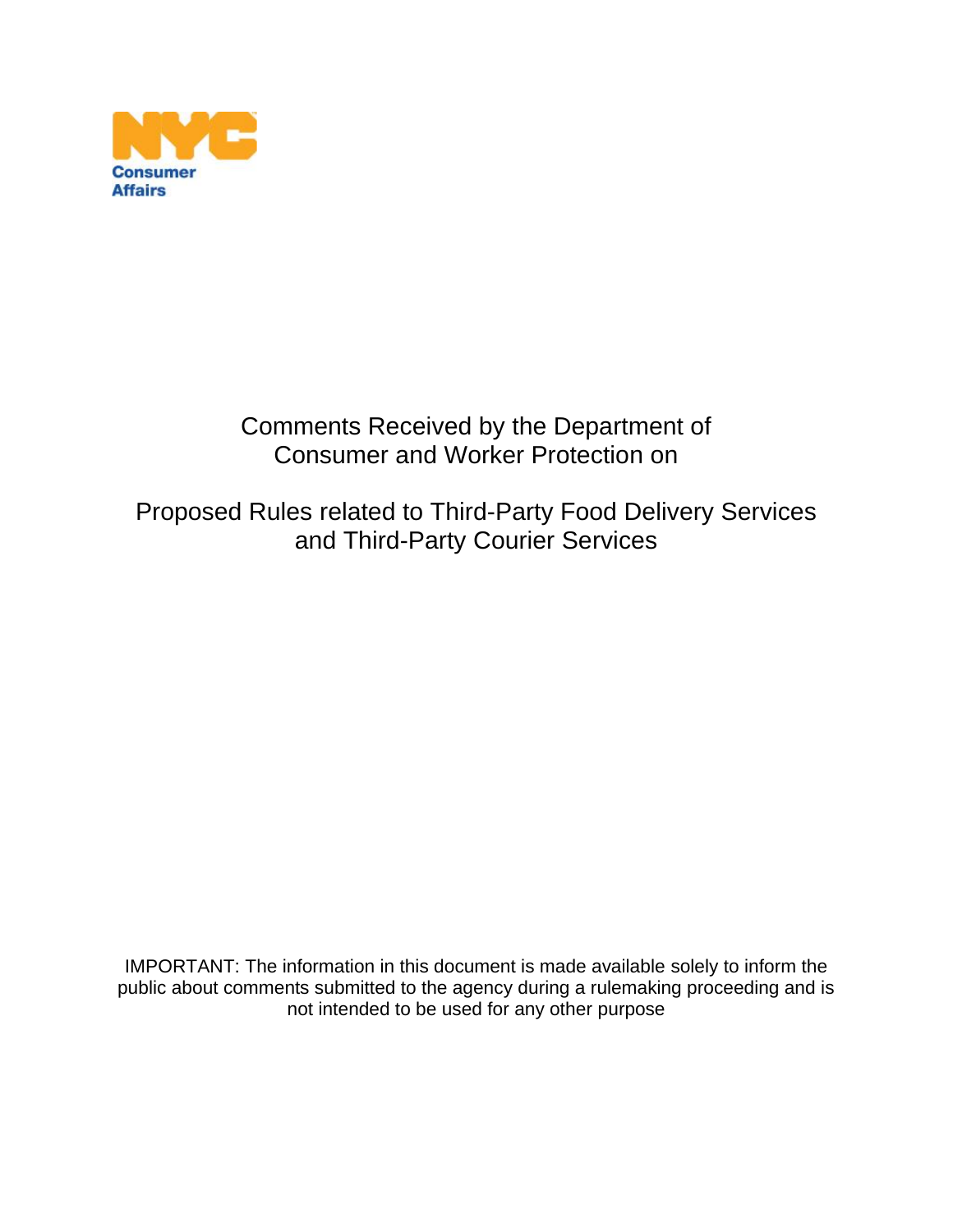

# Comments Received by the Department of Consumer and Worker Protection on

# Proposed Rules related to Third-Party Food Delivery Services and Third-Party Courier Services

IMPORTANT: The information in this document is made available solely to inform the public about comments submitted to the agency during a rulemaking proceeding and is not intended to be used for any other purpose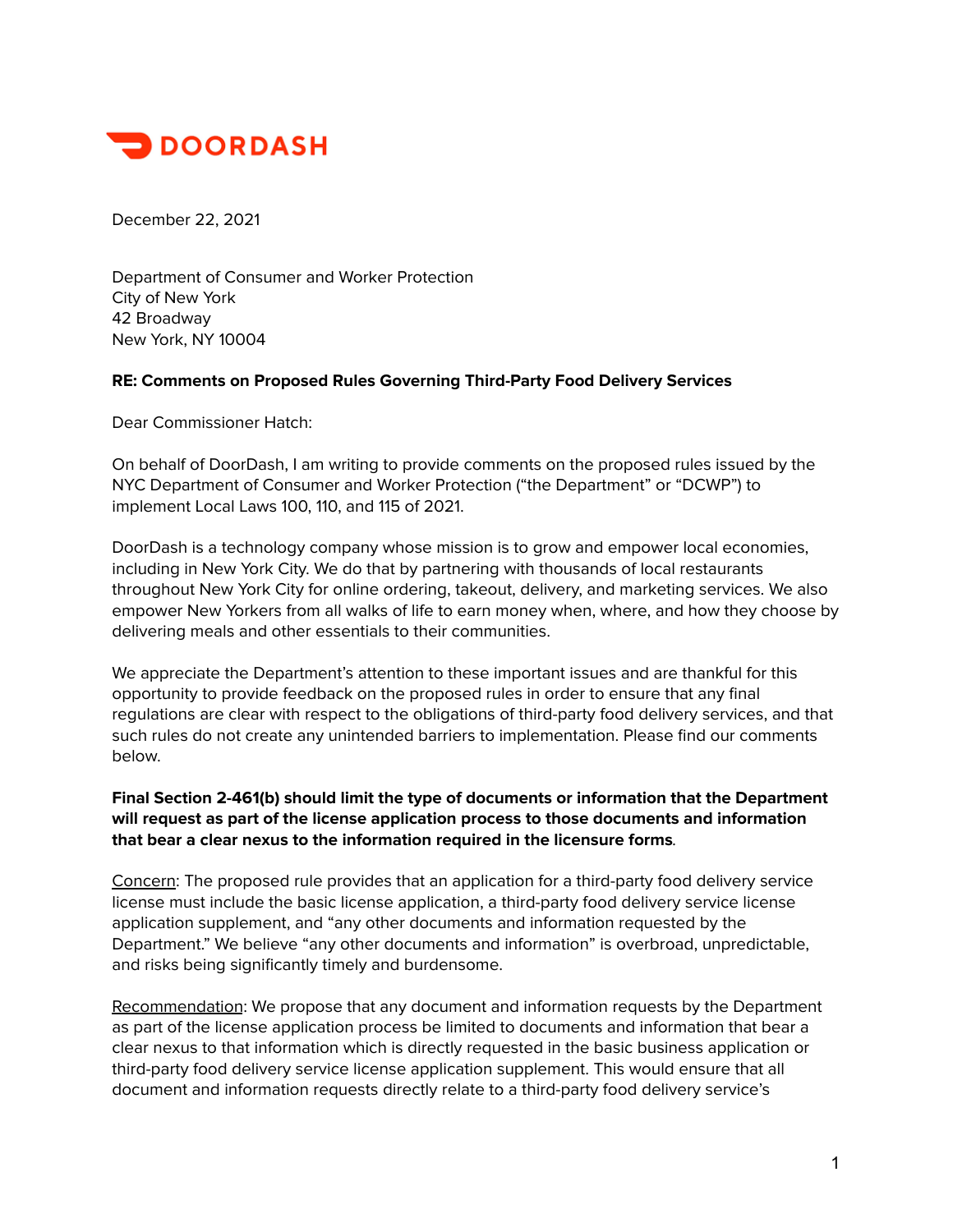

December 22, 2021

Department of Consumer and Worker Protection City of New York 42 Broadway New York, NY 10004

#### **RE: Comments on Proposed Rules Governing Third-Party Food Delivery Services**

Dear Commissioner Hatch:

On behalf of DoorDash, I am writing to provide comments on the proposed rules issued by the NYC Department of Consumer and Worker Protection ("the Department" or "DCWP") to implement Local Laws 100, 110, and 115 of 2021.

DoorDash is a technology company whose mission is to grow and empower local economies, including in New York City. We do that by partnering with thousands of local restaurants throughout New York City for online ordering, takeout, delivery, and marketing services. We also empower New Yorkers from all walks of life to earn money when, where, and how they choose by delivering meals and other essentials to their communities.

We appreciate the Department's attention to these important issues and are thankful for this opportunity to provide feedback on the proposed rules in order to ensure that any final regulations are clear with respect to the obligations of third-party food delivery services, and that such rules do not create any unintended barriers to implementation. Please find our comments below.

#### **Final Section 2-461(b) should limit the type of documents or information that the Department will request as part of the license application process to those documents and information that bear a clear nexus to the information required in the licensure forms**.

Concern: The proposed rule provides that an application for a third-party food delivery service license must include the basic license application, a third-party food delivery service license application supplement, and "any other documents and information requested by the Department." We believe "any other documents and information" is overbroad, unpredictable, and risks being significantly timely and burdensome.

Recommendation: We propose that any document and information requests by the Department as part of the license application process be limited to documents and information that bear a clear nexus to that information which is directly requested in the basic business application or third-party food delivery service license application supplement. This would ensure that all document and information requests directly relate to a third-party food delivery service's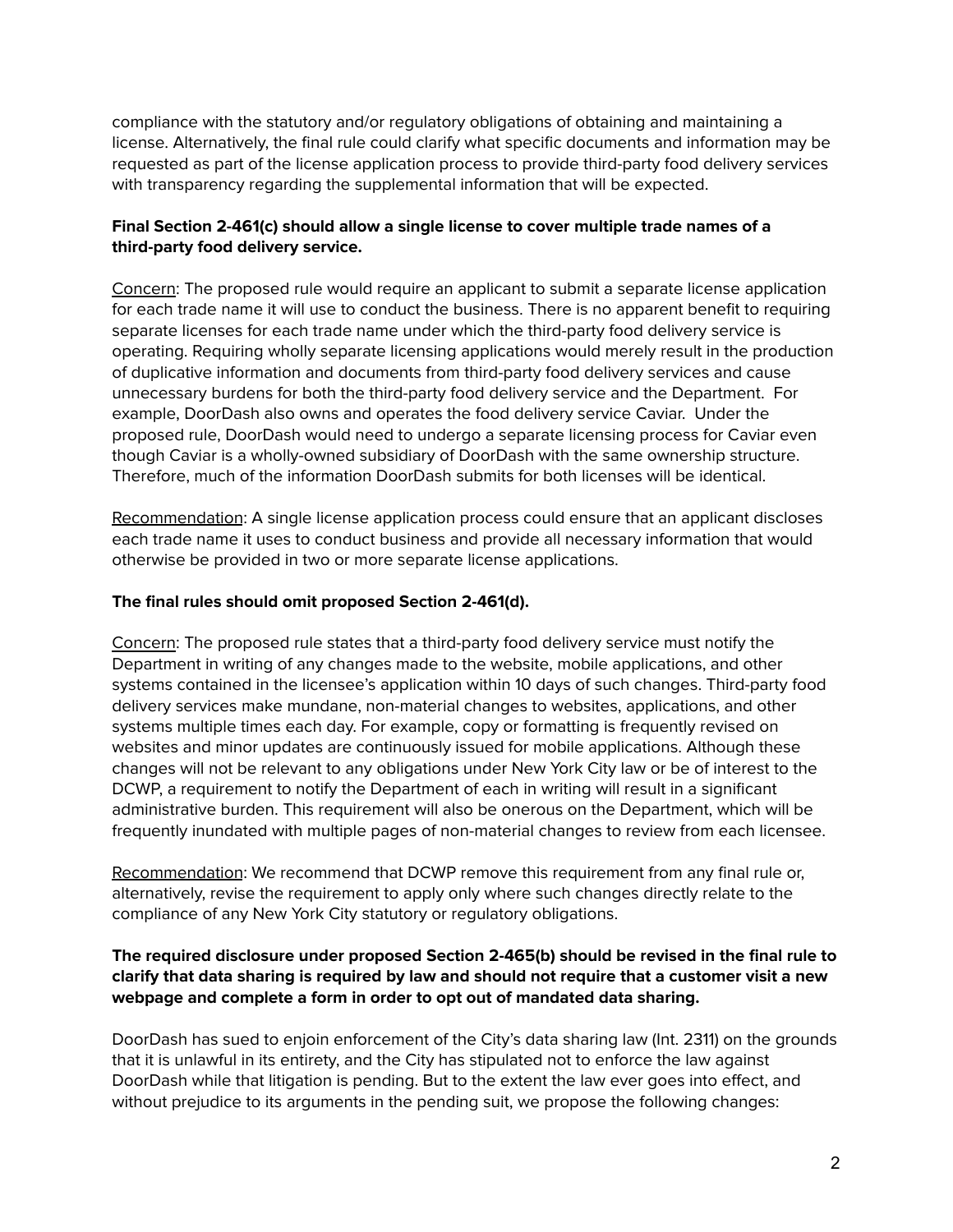compliance with the statutory and/or regulatory obligations of obtaining and maintaining a license. Alternatively, the final rule could clarify what specific documents and information may be requested as part of the license application process to provide third-party food delivery services with transparency regarding the supplemental information that will be expected.

### **Final Section 2-461(c) should allow a single license to cover multiple trade names of a third-party food delivery service.**

Concern: The proposed rule would require an applicant to submit a separate license application for each trade name it will use to conduct the business. There is no apparent benefit to requiring separate licenses for each trade name under which the third-party food delivery service is operating. Requiring wholly separate licensing applications would merely result in the production of duplicative information and documents from third-party food delivery services and cause unnecessary burdens for both the third-party food delivery service and the Department. For example, DoorDash also owns and operates the food delivery service Caviar. Under the proposed rule, DoorDash would need to undergo a separate licensing process for Caviar even though Caviar is a wholly-owned subsidiary of DoorDash with the same ownership structure. Therefore, much of the information DoorDash submits for both licenses will be identical.

Recommendation: A single license application process could ensure that an applicant discloses each trade name it uses to conduct business and provide all necessary information that would otherwise be provided in two or more separate license applications.

#### **The final rules should omit proposed Section 2-461(d).**

Concern: The proposed rule states that a third-party food delivery service must notify the Department in writing of any changes made to the website, mobile applications, and other systems contained in the licensee's application within 10 days of such changes. Third-party food delivery services make mundane, non-material changes to websites, applications, and other systems multiple times each day. For example, copy or formatting is frequently revised on websites and minor updates are continuously issued for mobile applications. Although these changes will not be relevant to any obligations under New York City law or be of interest to the DCWP, a requirement to notify the Department of each in writing will result in a significant administrative burden. This requirement will also be onerous on the Department, which will be frequently inundated with multiple pages of non-material changes to review from each licensee.

Recommendation: We recommend that DCWP remove this requirement from any final rule or, alternatively, revise the requirement to apply only where such changes directly relate to the compliance of any New York City statutory or regulatory obligations.

### **The required disclosure under proposed Section 2-465(b) should be revised in the final rule to clarify that data sharing is required by law and should not require that a customer visit a new webpage and complete a form in order to opt out of mandated data sharing.**

DoorDash has sued to enjoin enforcement of the City's data sharing law (Int. 2311) on the grounds that it is unlawful in its entirety, and the City has stipulated not to enforce the law against DoorDash while that litigation is pending. But to the extent the law ever goes into effect, and without prejudice to its arguments in the pending suit, we propose the following changes: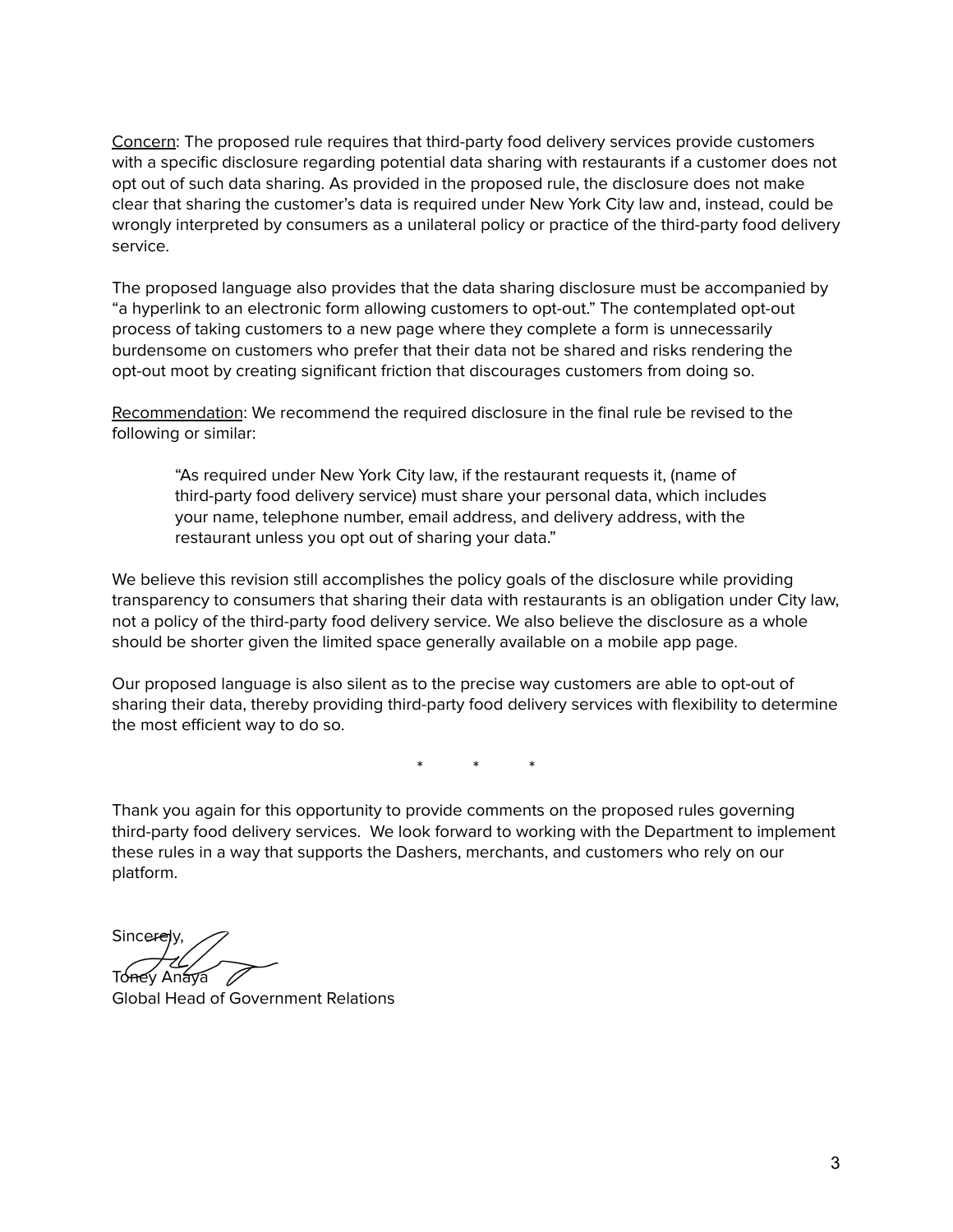Concern: The proposed rule requires that third-party food delivery services provide customers with a specific disclosure regarding potential data sharing with restaurants if a customer does not opt out of such data sharing. As provided in the proposed rule, the disclosure does not make clear that sharing the customer's data is required under New York City law and, instead, could be wrongly interpreted by consumers as a unilateral policy or practice of the third-party food delivery service.

The proposed language also provides that the data sharing disclosure must be accompanied by "a hyperlink to an electronic form allowing customers to opt-out." The contemplated opt-out process of taking customers to a new page where they complete a form is unnecessarily burdensome on customers who prefer that their data not be shared and risks rendering the opt-out moot by creating significant friction that discourages customers from doing so.

Recommendation: We recommend the required disclosure in the final rule be revised to the following or similar:

"As required under New York City law, if the restaurant requests it, (name of third-party food delivery service) must share your personal data, which includes your name, telephone number, email address, and delivery address, with the restaurant unless you opt out of sharing your data."

We believe this revision still accomplishes the policy goals of the disclosure while providing transparency to consumers that sharing their data with restaurants is an obligation under City law, not a policy of the third-party food delivery service. We also believe the disclosure as a whole should be shorter given the limited space generally available on a mobile app page.

Our proposed language is also silent as to the precise way customers are able to opt-out of sharing their data, thereby providing third-party food delivery services with flexibility to determine the most efficient way to do so.

\* \* \*

Thank you again for this opportunity to provide comments on the proposed rules governing third-party food delivery services. We look forward to working with the Department to implement these rules in a way that supports the Dashers, merchants, and customers who rely on our platform.

Sincerely. Toney Anaya 2

Global Head of Government Relations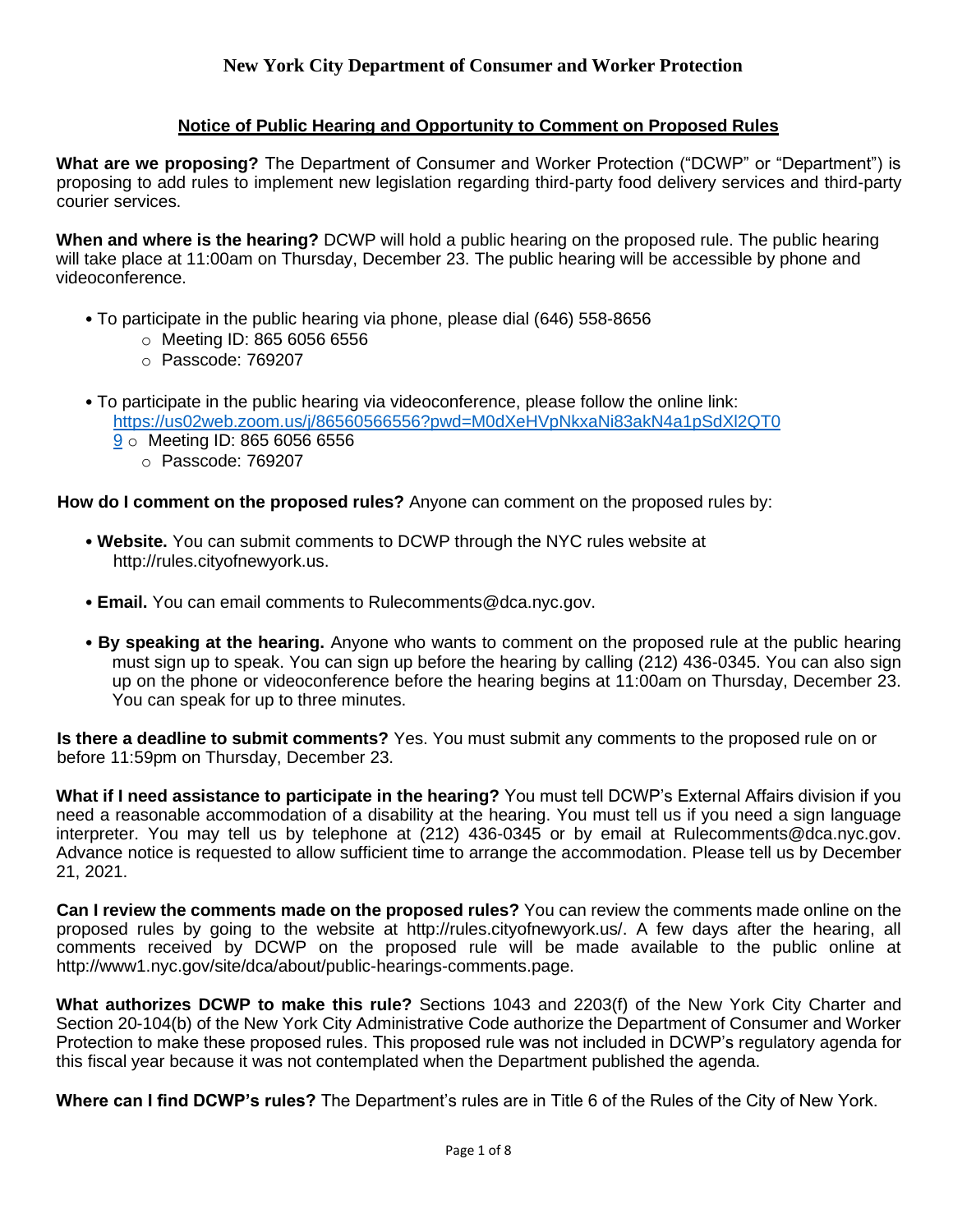### **Notice of Public Hearing and Opportunity to Comment on Proposed Rules**

**What are we proposing?** The Department of Consumer and Worker Protection ("DCWP" or "Department") is proposing to add rules to implement new legislation regarding third-party food delivery services and third-party courier services.

**When and where is the hearing?** DCWP will hold a public hearing on the proposed rule. The public hearing will take place at 11:00am on Thursday, December 23. The public hearing will be accessible by phone and videoconference.

- To participate in the public hearing via phone, please dial (646) 558-8656
	- o Meeting ID: 865 6056 6556
	- o Passcode: 769207
- To participate in the public hearing via videoconference, please follow the online link: https://us02web.zoom.us/j/86560566556?pwd=M0dXeHVpNkxaNi83akN4a1pSdXl2QT0
	- 9 o Meeting ID: 865 6056 6556
		- o Passcode: 769207

**How do I comment on the proposed rules?** Anyone can comment on the proposed rules by:

- **Website.** You can submit comments to DCWP through the NYC rules website at http://rules.cityofnewyork.us.
- **Email.** You can email comments to Rulecomments@dca.nyc.gov.
- **By speaking at the hearing.** Anyone who wants to comment on the proposed rule at the public hearing must sign up to speak. You can sign up before the hearing by calling (212) 436-0345. You can also sign up on the phone or videoconference before the hearing begins at 11:00am on Thursday, December 23. You can speak for up to three minutes.

**Is there a deadline to submit comments?** Yes. You must submit any comments to the proposed rule on or before 11:59pm on Thursday, December 23.

**What if I need assistance to participate in the hearing?** You must tell DCWP's External Affairs division if you need a reasonable accommodation of a disability at the hearing. You must tell us if you need a sign language interpreter. You may tell us by telephone at (212) 436-0345 or by email at Rulecomments@dca.nyc.gov. Advance notice is requested to allow sufficient time to arrange the accommodation. Please tell us by December 21, 2021.

**Can I review the comments made on the proposed rules?** You can review the comments made online on the proposed rules by going to the website at http://rules.cityofnewyork.us/. A few days after the hearing, all comments received by DCWP on the proposed rule will be made available to the public online at http://www1.nyc.gov/site/dca/about/public-hearings-comments.page.

**What authorizes DCWP to make this rule?** Sections 1043 and 2203(f) of the New York City Charter and Section 20-104(b) of the New York City Administrative Code authorize the Department of Consumer and Worker Protection to make these proposed rules. This proposed rule was not included in DCWP's regulatory agenda for this fiscal year because it was not contemplated when the Department published the agenda.

**Where can I find DCWP's rules?** The Department's rules are in Title 6 of the Rules of the City of New York.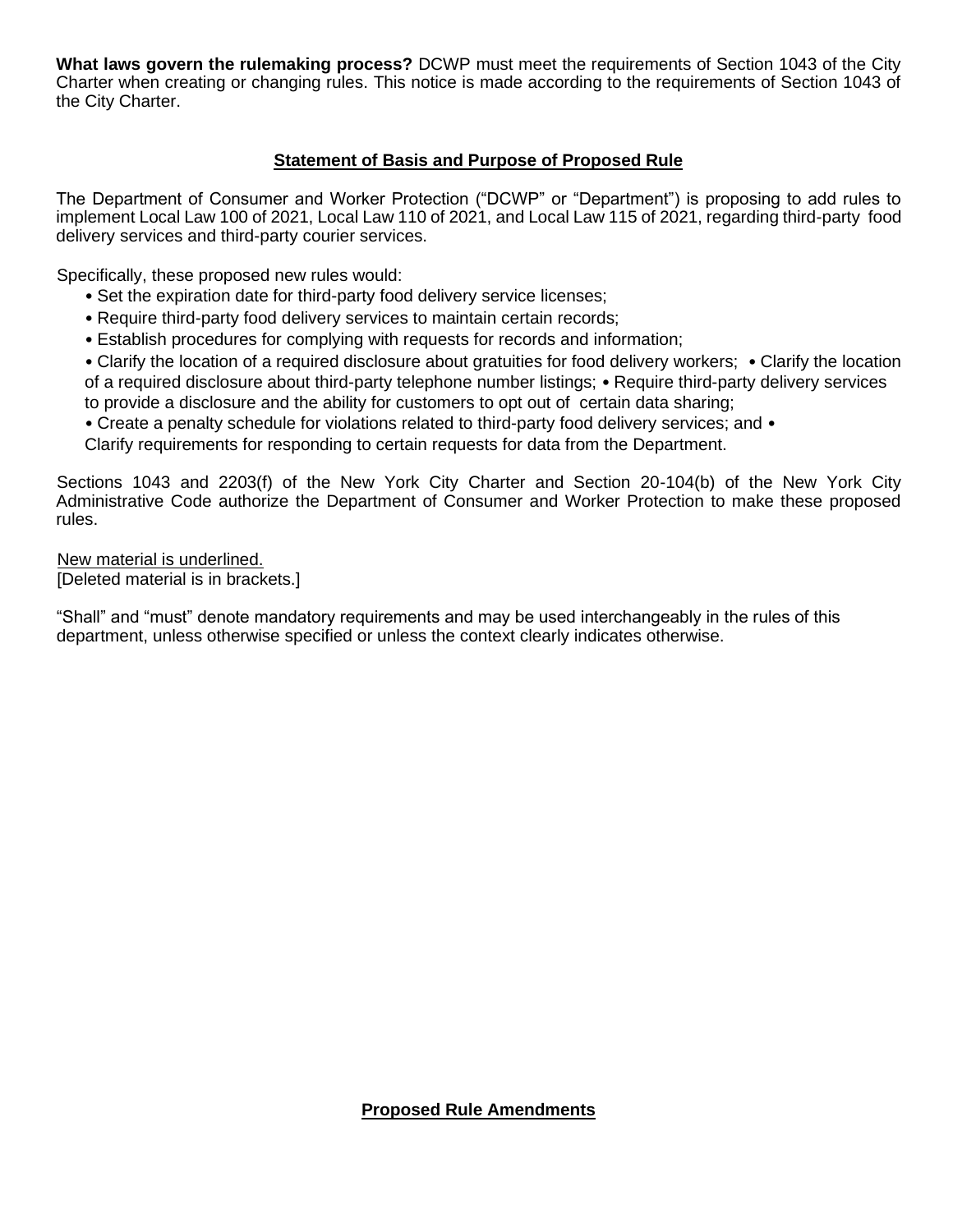**What laws govern the rulemaking process?** DCWP must meet the requirements of Section 1043 of the City Charter when creating or changing rules. This notice is made according to the requirements of Section 1043 of the City Charter.

## **Statement of Basis and Purpose of Proposed Rule**

The Department of Consumer and Worker Protection ("DCWP" or "Department") is proposing to add rules to implement Local Law 100 of 2021, Local Law 110 of 2021, and Local Law 115 of 2021, regarding third-party food delivery services and third-party courier services.

Specifically, these proposed new rules would:

- Set the expiration date for third-party food delivery service licenses;
- Require third-party food delivery services to maintain certain records;
- Establish procedures for complying with requests for records and information;

• Clarify the location of a required disclosure about gratuities for food delivery workers; • Clarify the location of a required disclosure about third-party telephone number listings; • Require third-party delivery services to provide a disclosure and the ability for customers to opt out of certain data sharing;

• Create a penalty schedule for violations related to third-party food delivery services; and •

Clarify requirements for responding to certain requests for data from the Department.

Sections 1043 and 2203(f) of the New York City Charter and Section 20-104(b) of the New York City Administrative Code authorize the Department of Consumer and Worker Protection to make these proposed rules.

New material is underlined. [Deleted material is in brackets.]

"Shall" and "must" denote mandatory requirements and may be used interchangeably in the rules of this department, unless otherwise specified or unless the context clearly indicates otherwise.

**Proposed Rule Amendments**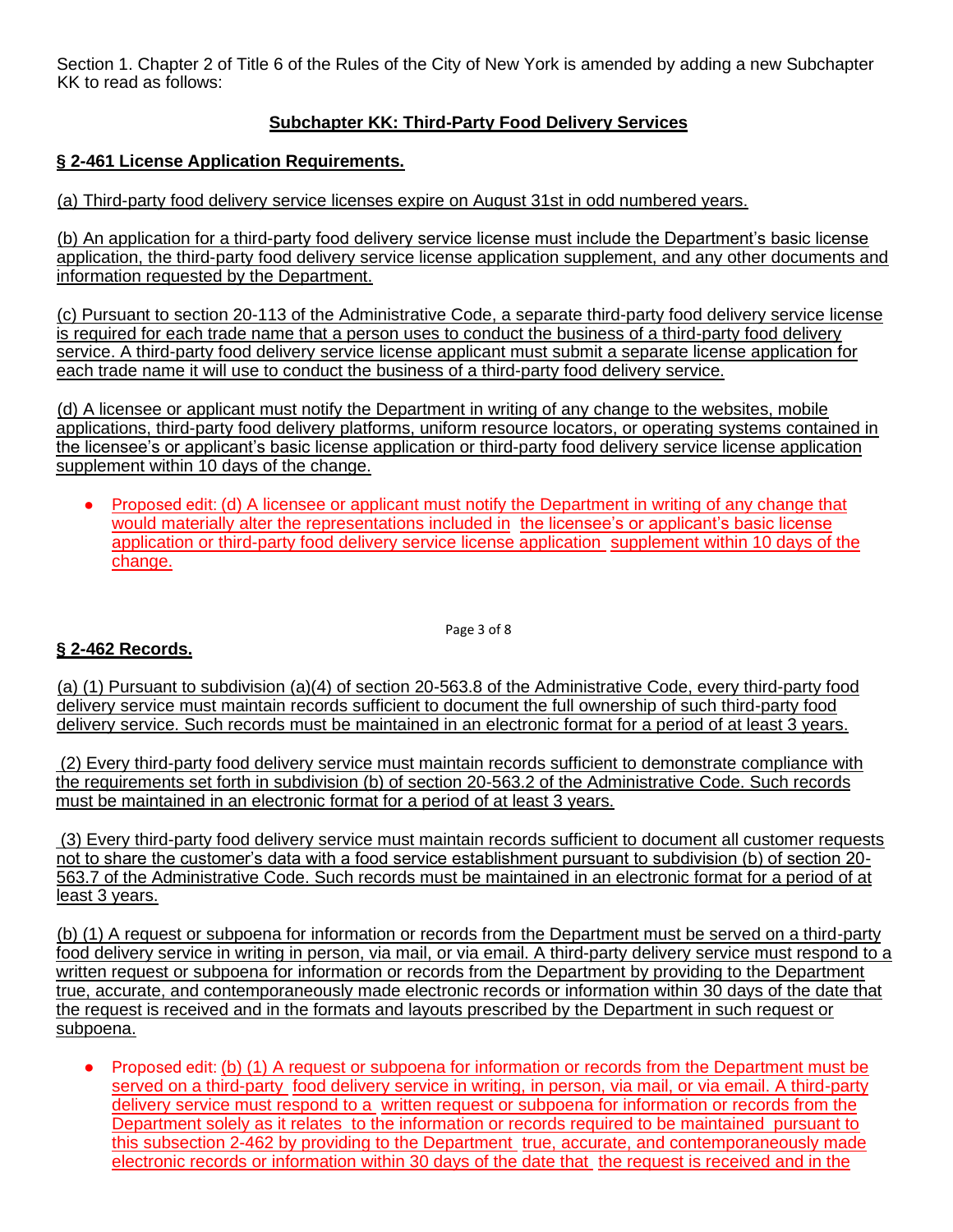Section 1. Chapter 2 of Title 6 of the Rules of the City of New York is amended by adding a new Subchapter KK to read as follows:

# **Subchapter KK: Third-Party Food Delivery Services**

# **§ 2-461 License Application Requirements.**

(a) Third-party food delivery service licenses expire on August 31st in odd numbered years.

(b) An application for a third-party food delivery service license must include the Department's basic license application, the third-party food delivery service license application supplement, and any other documents and information requested by the Department.

(c) Pursuant to section 20-113 of the Administrative Code, a separate third-party food delivery service license is required for each trade name that a person uses to conduct the business of a third-party food delivery service. A third-party food delivery service license applicant must submit a separate license application for each trade name it will use to conduct the business of a third-party food delivery service.

(d) A licensee or applicant must notify the Department in writing of any change to the websites, mobile applications, third-party food delivery platforms, uniform resource locators, or operating systems contained in the licensee's or applicant's basic license application or third-party food delivery service license application supplement within 10 days of the change.

Proposed edit: (d) A licensee or applicant must notify the Department in writing of any change that would materially alter the representations included in the licensee's or applicant's basic license application or third-party food delivery service license application supplement within 10 days of the change.

Page 3 of 8

### **§ 2-462 Records.**

(a) (1) Pursuant to subdivision (a)(4) of section 20-563.8 of the Administrative Code, every third-party food delivery service must maintain records sufficient to document the full ownership of such third-party food delivery service. Such records must be maintained in an electronic format for a period of at least 3 years.

(2) Every third-party food delivery service must maintain records sufficient to demonstrate compliance with the requirements set forth in subdivision (b) of section 20-563.2 of the Administrative Code. Such records must be maintained in an electronic format for a period of at least 3 years.

(3) Every third-party food delivery service must maintain records sufficient to document all customer requests not to share the customer's data with a food service establishment pursuant to subdivision (b) of section 20- 563.7 of the Administrative Code. Such records must be maintained in an electronic format for a period of at least 3 years.

(b) (1) A request or subpoena for information or records from the Department must be served on a third-party food delivery service in writing in person, via mail, or via email. A third-party delivery service must respond to a written request or subpoena for information or records from the Department by providing to the Department true, accurate, and contemporaneously made electronic records or information within 30 days of the date that the request is received and in the formats and layouts prescribed by the Department in such request or subpoena.

Proposed edit: (b) (1) A request or subpoena for information or records from the Department must be served on a third-party food delivery service in writing, in person, via mail, or via email. A third-party delivery service must respond to a written request or subpoena for information or records from the Department solely as it relates to the information or records required to be maintained pursuant to this subsection 2-462 by providing to the Department true, accurate, and contemporaneously made electronic records or information within 30 days of the date that the request is received and in the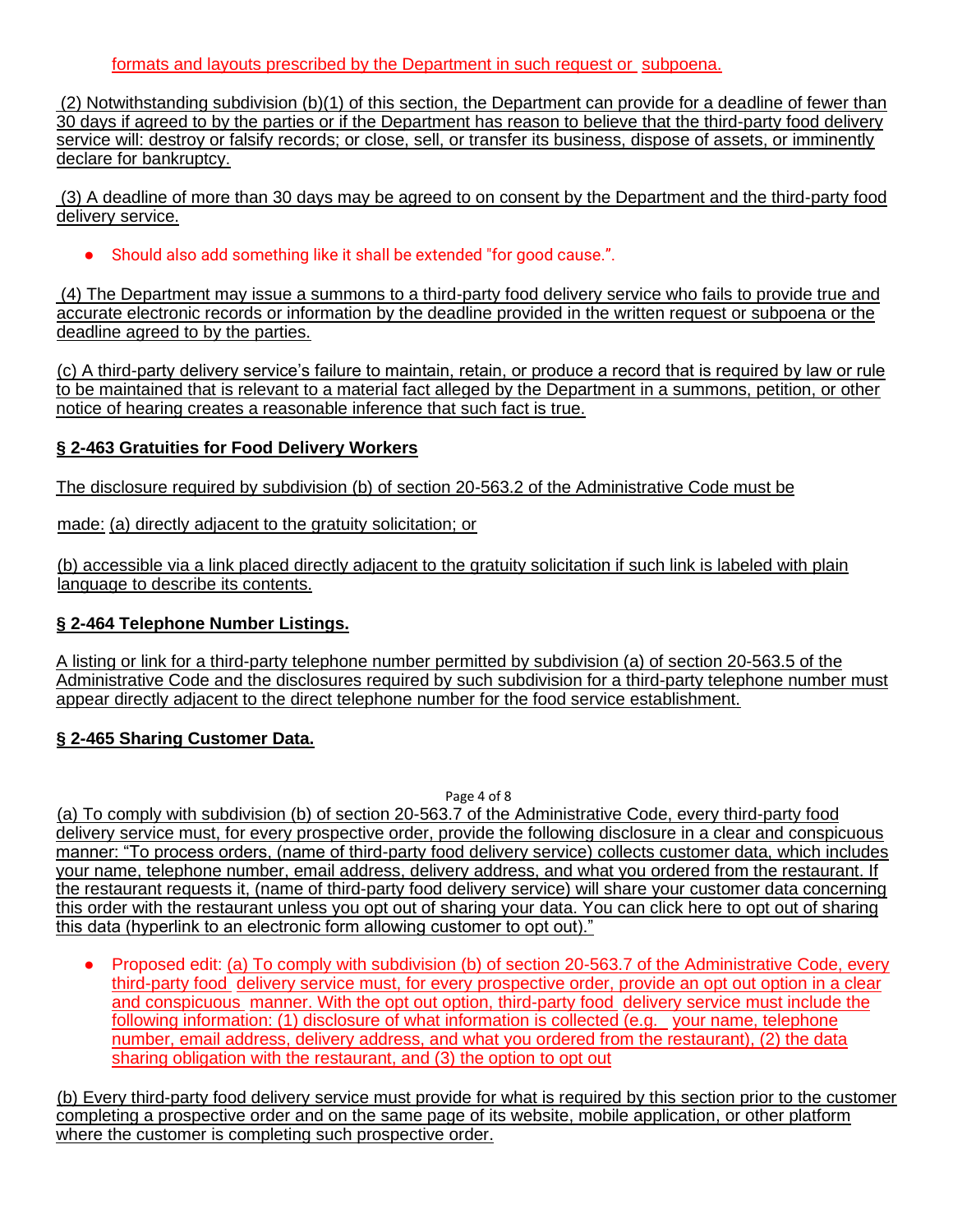### formats and layouts prescribed by the Department in such request or subpoena.

(2) Notwithstanding subdivision (b)(1) of this section, the Department can provide for a deadline of fewer than 30 days if agreed to by the parties or if the Department has reason to believe that the third-party food delivery service will: destroy or falsify records; or close, sell, or transfer its business, dispose of assets, or imminently declare for bankruptcy.

(3) A deadline of more than 30 days may be agreed to on consent by the Department and the third-party food delivery service.

● Should also add something like it shall be extended "for good cause.".

(4) The Department may issue a summons to a third-party food delivery service who fails to provide true and accurate electronic records or information by the deadline provided in the written request or subpoena or the deadline agreed to by the parties.

(c) A third-party delivery service's failure to maintain, retain, or produce a record that is required by law or rule to be maintained that is relevant to a material fact alleged by the Department in a summons, petition, or other notice of hearing creates a reasonable inference that such fact is true.

## **§ 2-463 Gratuities for Food Delivery Workers**

The disclosure required by subdivision (b) of section 20-563.2 of the Administrative Code must be

made: (a) directly adjacent to the gratuity solicitation; or

(b) accessible via a link placed directly adjacent to the gratuity solicitation if such link is labeled with plain language to describe its contents.

### **§ 2-464 Telephone Number Listings.**

A listing or link for a third-party telephone number permitted by subdivision (a) of section 20-563.5 of the Administrative Code and the disclosures required by such subdivision for a third-party telephone number must appear directly adjacent to the direct telephone number for the food service establishment.

# **§ 2-465 Sharing Customer Data.**

Page 4 of 8

(a) To comply with subdivision (b) of section 20-563.7 of the Administrative Code, every third-party food delivery service must, for every prospective order, provide the following disclosure in a clear and conspicuous manner: "To process orders, (name of third-party food delivery service) collects customer data, which includes your name, telephone number, email address, delivery address, and what you ordered from the restaurant. If the restaurant requests it, (name of third-party food delivery service) will share your customer data concerning this order with the restaurant unless you opt out of sharing your data. You can click here to opt out of sharing this data (hyperlink to an electronic form allowing customer to opt out)."

● Proposed edit: (a) To comply with subdivision (b) of section 20-563.7 of the Administrative Code, every third-party food delivery service must, for every prospective order, provide an opt out option in a clear and conspicuous manner. With the opt out option, third-party food delivery service must include the following information: (1) disclosure of what information is collected (e.g. your name, telephone number, email address, delivery address, and what you ordered from the restaurant), (2) the data sharing obligation with the restaurant, and (3) the option to opt out

(b) Every third-party food delivery service must provide for what is required by this section prior to the customer completing a prospective order and on the same page of its website, mobile application, or other platform where the customer is completing such prospective order.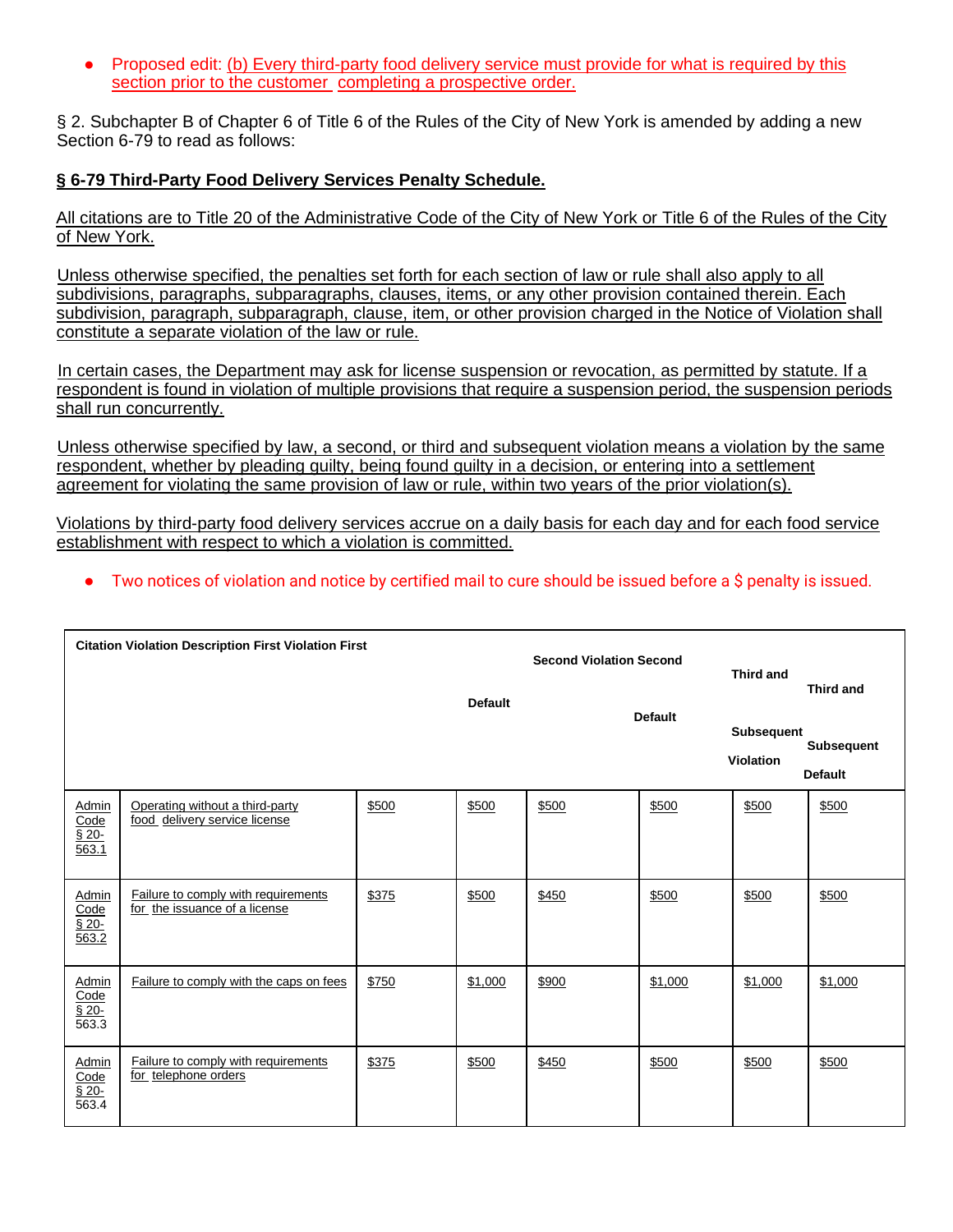• Proposed edit: (b) Every third-party food delivery service must provide for what is required by this section prior to the customer completing a prospective order.

§ 2. Subchapter B of Chapter 6 of Title 6 of the Rules of the City of New York is amended by adding a new Section 6-79 to read as follows:

# **§ 6-79 Third-Party Food Delivery Services Penalty Schedule.**

All citations are to Title 20 of the Administrative Code of the City of New York or Title 6 of the Rules of the City of New York.

Unless otherwise specified, the penalties set forth for each section of law or rule shall also apply to all subdivisions, paragraphs, subparagraphs, clauses, items, or any other provision contained therein. Each subdivision, paragraph, subparagraph, clause, item, or other provision charged in the Notice of Violation shall constitute a separate violation of the law or rule.

In certain cases, the Department may ask for license suspension or revocation, as permitted by statute. If a respondent is found in violation of multiple provisions that require a suspension period, the suspension periods shall run concurrently.

Unless otherwise specified by law, a second, or third and subsequent violation means a violation by the same respondent, whether by pleading guilty, being found guilty in a decision, or entering into a settlement agreement for violating the same provision of law or rule, within two years of the prior violation(s).

Violations by third-party food delivery services accrue on a daily basis for each day and for each food service establishment with respect to which a violation is committed.

● Two notices of violation and notice by certified mail to cure should be issued before a \$ penalty is issued.

| <b>Citation Violation Description First Violation First</b> |                                                                      |                |         | <b>Second Violation Second</b> |                | <b>Third and</b>                      | <b>Third and</b>                    |
|-------------------------------------------------------------|----------------------------------------------------------------------|----------------|---------|--------------------------------|----------------|---------------------------------------|-------------------------------------|
|                                                             |                                                                      | <b>Default</b> |         |                                | <b>Default</b> | <b>Subsequent</b><br><b>Violation</b> | <b>Subsequent</b><br><b>Default</b> |
| Admin<br>Code<br>$$20-$<br>$\frac{663.1}{563.1}$            | Operating without a third-party<br>food delivery service license     | \$500          | \$500   | \$500                          | \$500          | \$500                                 | \$500                               |
| Admin<br>Code<br>$$20-$<br>563.2                            | Failure to comply with requirements<br>for the issuance of a license | \$375          | \$500   | \$450                          | \$500          | \$500                                 | \$500                               |
| Admin<br>Code<br>$\sqrt{\frac{20}{}}$<br>563.3              | Failure to comply with the caps on fees                              | \$750          | \$1,000 | \$900                          | \$1,000        | \$1,000                               | \$1,000                             |
| Admin<br>Code<br>$$20-$<br>563.4                            | Failure to comply with requirements<br>for telephone orders          | \$375          | \$500   | \$450                          | \$500          | \$500                                 | \$500                               |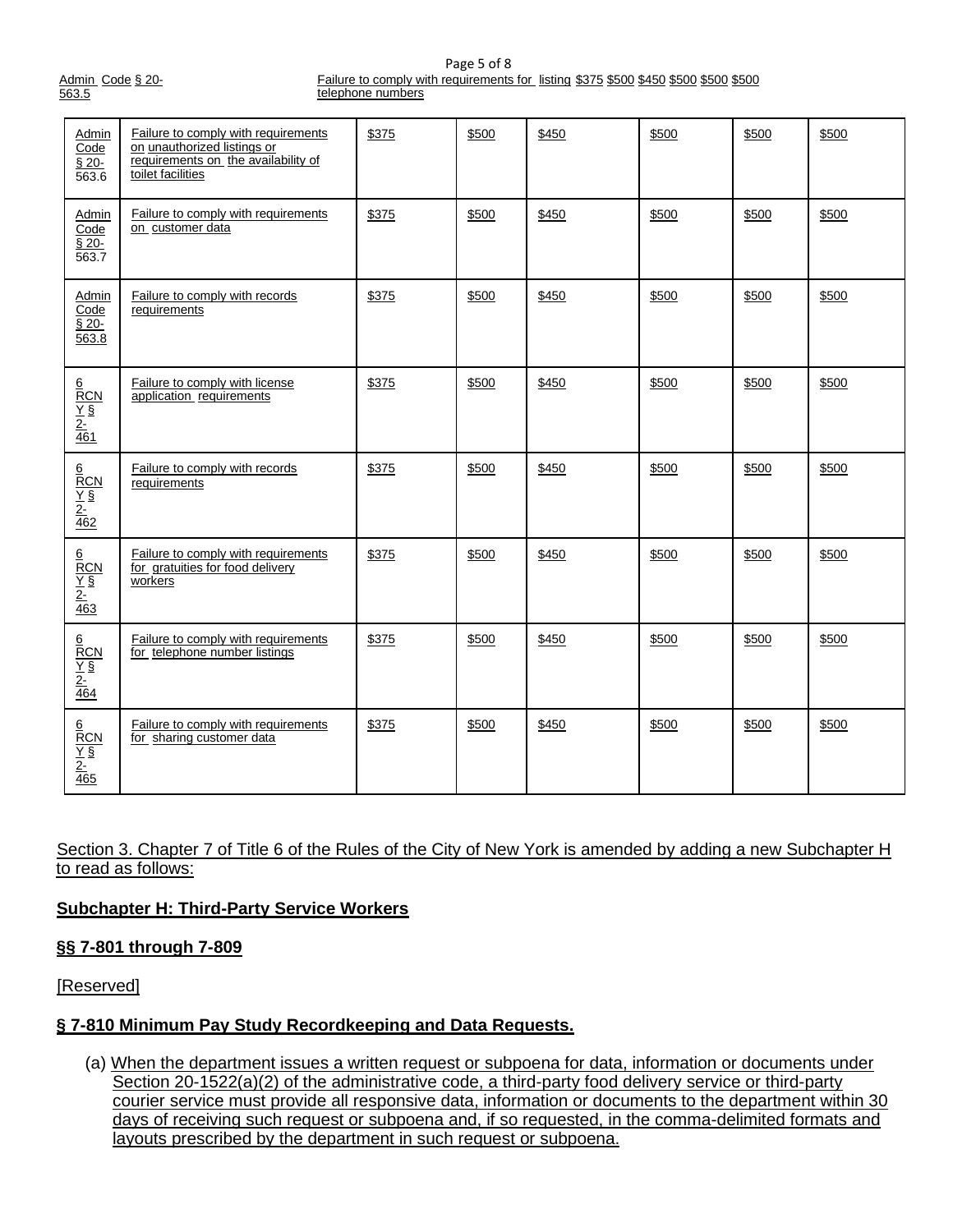|       | Admin Code § 20- |  |
|-------|------------------|--|
| 563.5 |                  |  |

Page 5 of 8 Failure to comply with requirements for listing \$375 \$500 \$450 \$500 \$500 \$500 telephone numbers

| Admin<br>Code<br>$\overline{\S 20}$<br>563.6                              | Failure to comply with requirements<br>on unauthorized listings or<br>requirements on the availability of<br>toilet facilities | \$375 | \$500 | \$450 | \$500 | \$500 | \$500 |
|---------------------------------------------------------------------------|--------------------------------------------------------------------------------------------------------------------------------|-------|-------|-------|-------|-------|-------|
| <b>Admin</b><br>Code<br>$§$ 20-<br>$\overline{563.7}$                     | Failure to comply with requirements<br>on customer data                                                                        | \$375 | \$500 | \$450 | \$500 | \$500 | \$500 |
| <b>Admin</b><br>Code<br>$$20-$<br>563.8                                   | Failure to comply with records<br>requirements                                                                                 | \$375 | \$500 | \$450 | \$500 | \$500 | \$500 |
| $\frac{\frac{6}{RCN}}{\frac{Y}{2}}$ $\frac{\frac{2}{461}}{\frac{461}{2}}$ | Failure to comply with license<br>application requirements                                                                     | \$375 | \$500 | \$450 | \$500 | \$500 | \$500 |
| $\frac{\frac{6}{RCN}}{\frac{Y}{2}}$ $\frac{\frac{2}{462}}{462}$           | Failure to comply with records<br>requirements                                                                                 | \$375 | \$500 | \$450 | \$500 | \$500 | \$500 |
| $\frac{\frac{6}{RCN}}{\frac{Y}{2}}$ $\frac{\frac{2}{463}}{463}$           | Failure to comply with requirements<br>for gratuities for food delivery<br>workers                                             | \$375 | \$500 | \$450 | \$500 | \$500 | \$500 |
| $\frac{\frac{6}{RCN}}{\frac{Y}{2}}$ $\frac{\frac{2}{464}}{464}$           | Failure to comply with requirements<br>for telephone number listings                                                           | \$375 | \$500 | \$450 | \$500 | \$500 | \$500 |
| $\frac{\frac{6}{RCN}}{\frac{Y}{2}}$ $\frac{\frac{2}{465}}{\frac{465}{2}}$ | Failure to comply with requirements<br>for sharing customer data                                                               | \$375 | \$500 | \$450 | \$500 | \$500 | \$500 |

Section 3. Chapter 7 of Title 6 of the Rules of the City of New York is amended by adding a new Subchapter H to read as follows:

### **Subchapter H: Third-Party Service Workers**

### **§§ 7-801 through 7-809**

[Reserved]

# **§ 7-810 Minimum Pay Study Recordkeeping and Data Requests.**

(a) When the department issues a written request or subpoena for data, information or documents under Section 20-1522(a)(2) of the administrative code, a third-party food delivery service or third-party courier service must provide all responsive data, information or documents to the department within 30 days of receiving such request or subpoena and, if so requested, in the comma-delimited formats and layouts prescribed by the department in such request or subpoena.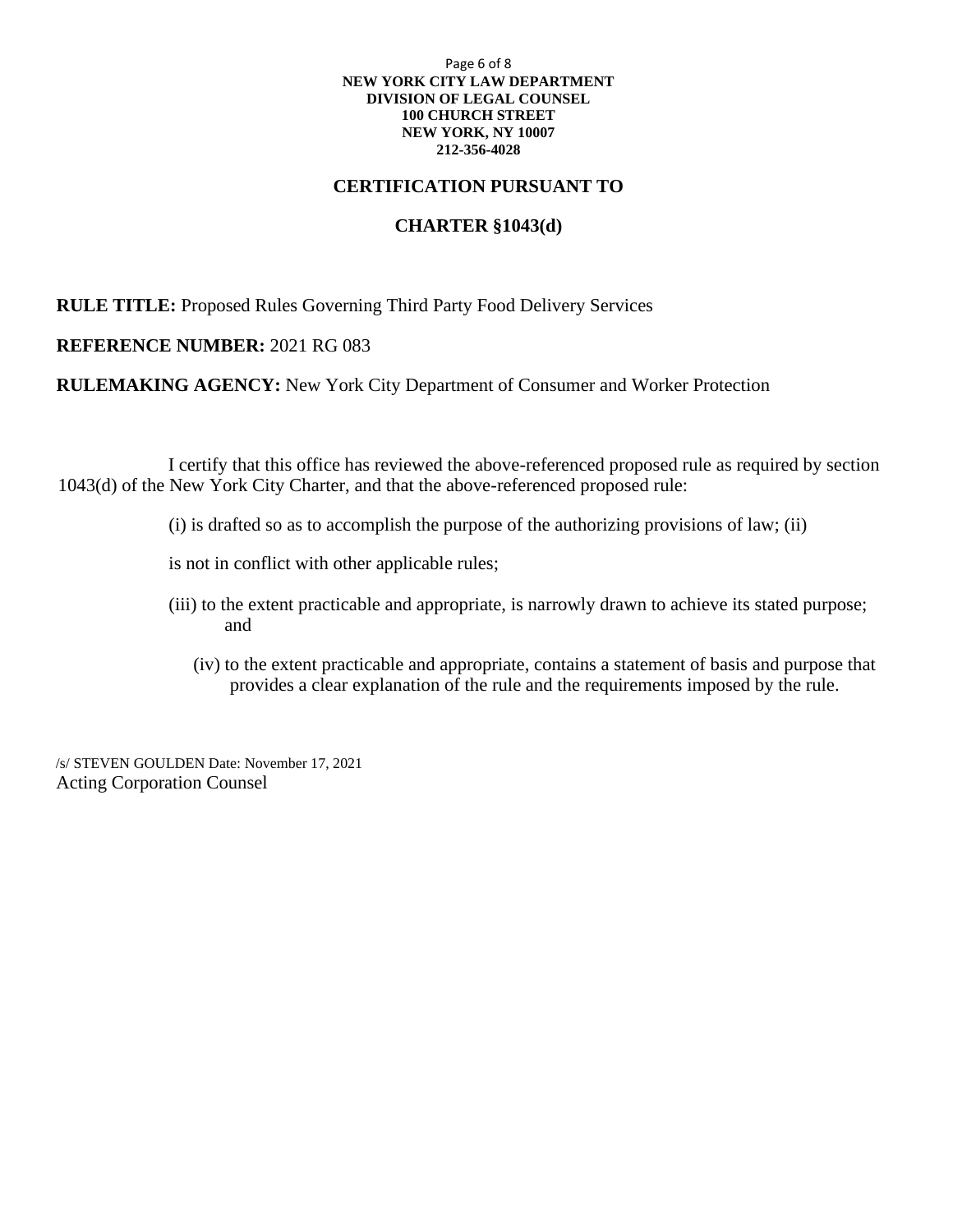#### Page 6 of 8 **NEW YORK CITY LAW DEPARTMENT DIVISION OF LEGAL COUNSEL 100 CHURCH STREET NEW YORK, NY 10007 212-356-4028**

#### **CERTIFICATION PURSUANT TO**

# **CHARTER §1043(d)**

**RULE TITLE:** Proposed Rules Governing Third Party Food Delivery Services

#### **REFERENCE NUMBER:** 2021 RG 083

**RULEMAKING AGENCY:** New York City Department of Consumer and Worker Protection

I certify that this office has reviewed the above-referenced proposed rule as required by section 1043(d) of the New York City Charter, and that the above-referenced proposed rule:

- (i) is drafted so as to accomplish the purpose of the authorizing provisions of law; (ii)
- is not in conflict with other applicable rules;
- (iii) to the extent practicable and appropriate, is narrowly drawn to achieve its stated purpose; and
	- (iv) to the extent practicable and appropriate, contains a statement of basis and purpose that provides a clear explanation of the rule and the requirements imposed by the rule.

/s/ STEVEN GOULDEN Date: November 17, 2021 Acting Corporation Counsel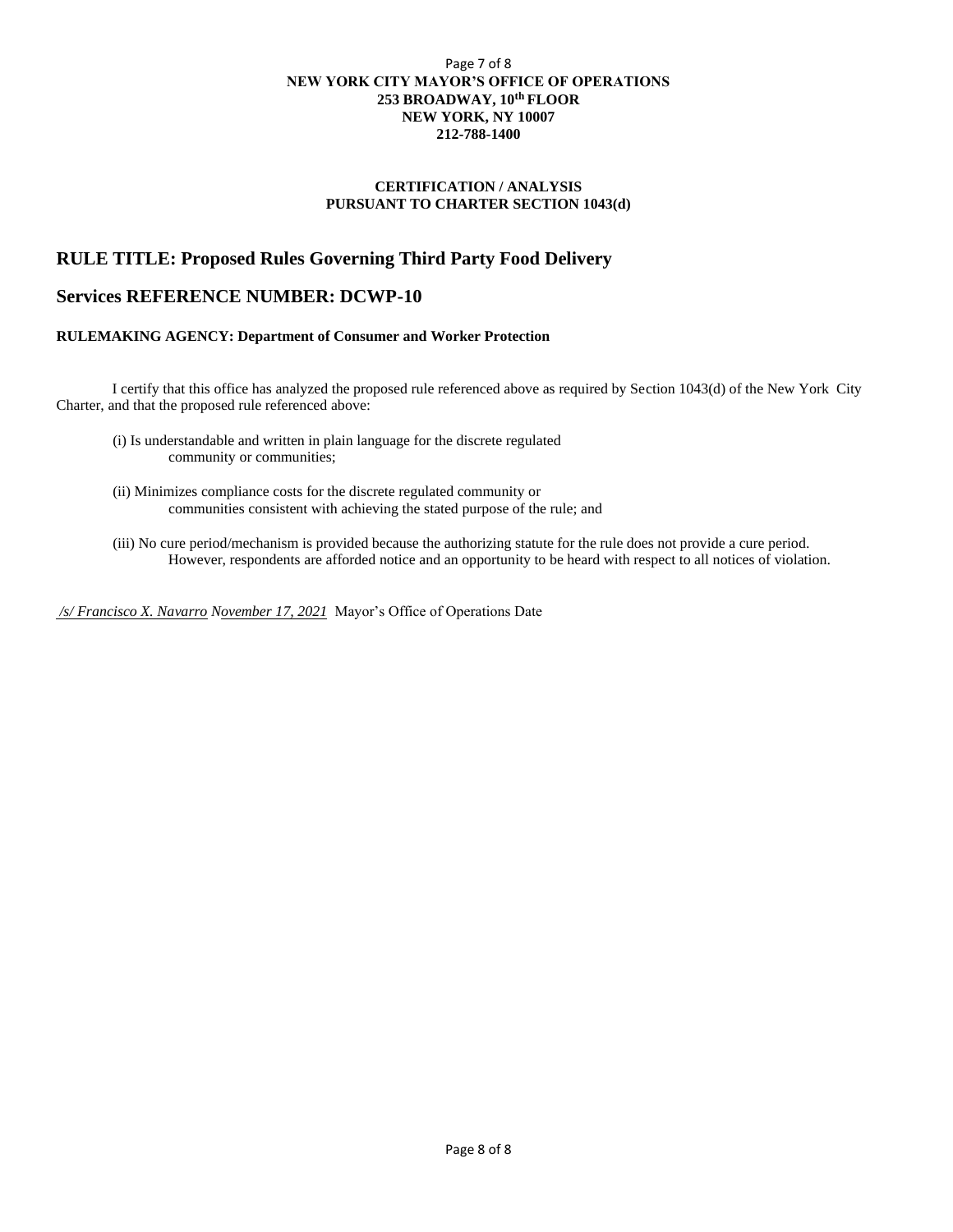#### Page 7 of 8 **NEW YORK CITY MAYOR'S OFFICE OF OPERATIONS 253 BROADWAY, 10th FLOOR NEW YORK, NY 10007 212-788-1400**

#### **CERTIFICATION / ANALYSIS PURSUANT TO CHARTER SECTION 1043(d)**

#### **RULE TITLE: Proposed Rules Governing Third Party Food Delivery**

#### **Services REFERENCE NUMBER: DCWP-10**

#### **RULEMAKING AGENCY: Department of Consumer and Worker Protection**

I certify that this office has analyzed the proposed rule referenced above as required by Section 1043(d) of the New York City Charter, and that the proposed rule referenced above:

- (i) Is understandable and written in plain language for the discrete regulated community or communities;
- (ii) Minimizes compliance costs for the discrete regulated community or communities consistent with achieving the stated purpose of the rule; and
- (iii) No cure period/mechanism is provided because the authorizing statute for the rule does not provide a cure period. However, respondents are afforded notice and an opportunity to be heard with respect to all notices of violation.

*/s/ Francisco X. Navarro November 17, 2021* Mayor's Office of Operations Date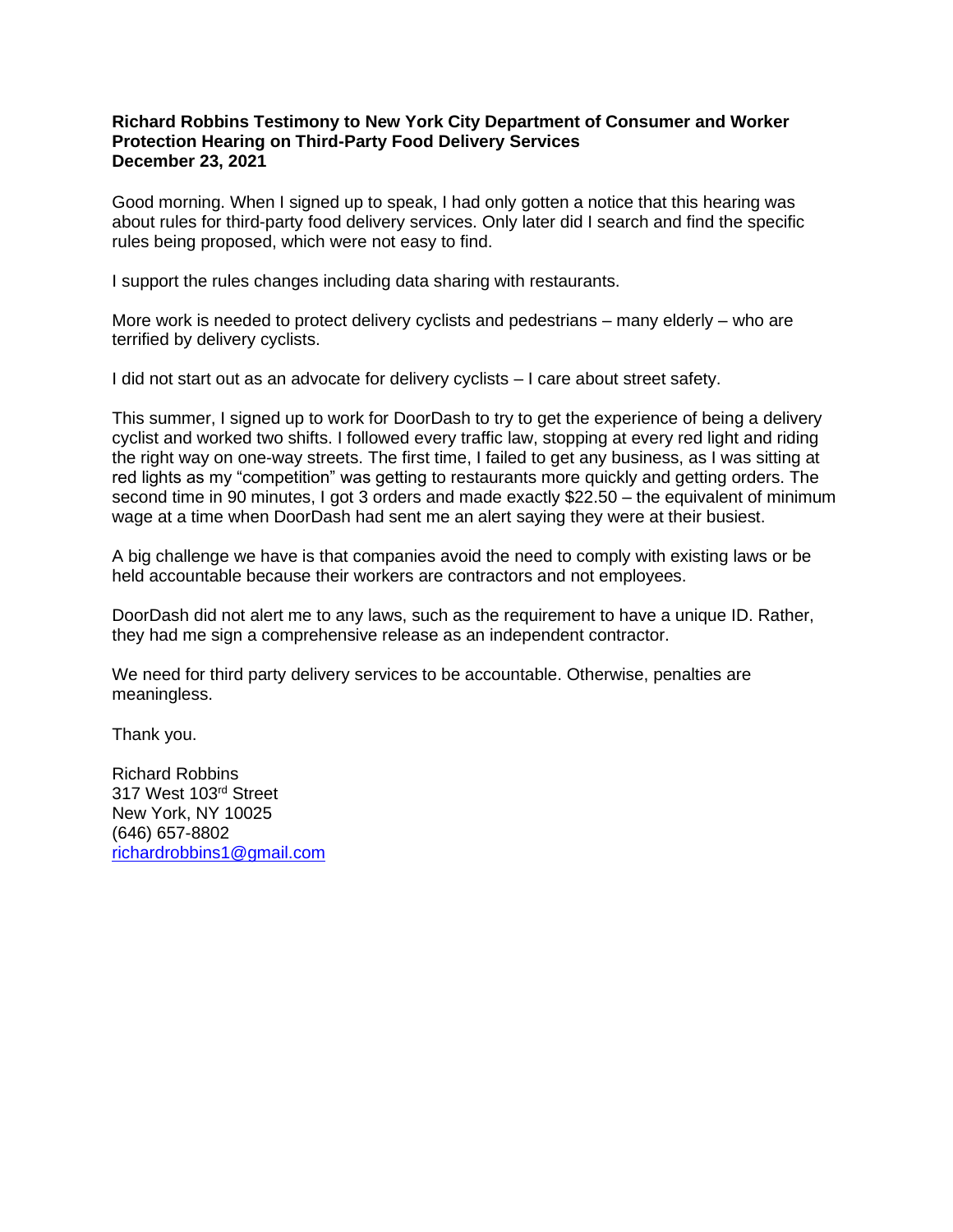#### **Richard Robbins Testimony to New York City Department of Consumer and Worker Protection Hearing on Third-Party Food Delivery Services December 23, 2021**

Good morning. When I signed up to speak, I had only gotten a notice that this hearing was about rules for third-party food delivery services. Only later did I search and find the specific rules being proposed, which were not easy to find.

I support the rules changes including data sharing with restaurants.

More work is needed to protect delivery cyclists and pedestrians – many elderly – who are terrified by delivery cyclists.

I did not start out as an advocate for delivery cyclists – I care about street safety.

This summer, I signed up to work for DoorDash to try to get the experience of being a delivery cyclist and worked two shifts. I followed every traffic law, stopping at every red light and riding the right way on one-way streets. The first time, I failed to get any business, as I was sitting at red lights as my "competition" was getting to restaurants more quickly and getting orders. The second time in 90 minutes, I got 3 orders and made exactly \$22.50 – the equivalent of minimum wage at a time when DoorDash had sent me an alert saying they were at their busiest.

A big challenge we have is that companies avoid the need to comply with existing laws or be held accountable because their workers are contractors and not employees.

DoorDash did not alert me to any laws, such as the requirement to have a unique ID. Rather, they had me sign a comprehensive release as an independent contractor.

We need for third party delivery services to be accountable. Otherwise, penalties are meaningless.

Thank you.

Richard Robbins 317 West 103rd Street New York, NY 10025 (646) 657-8802 [richardrobbins1@gmail.com](mailto:richardrobbins1@gmail.com)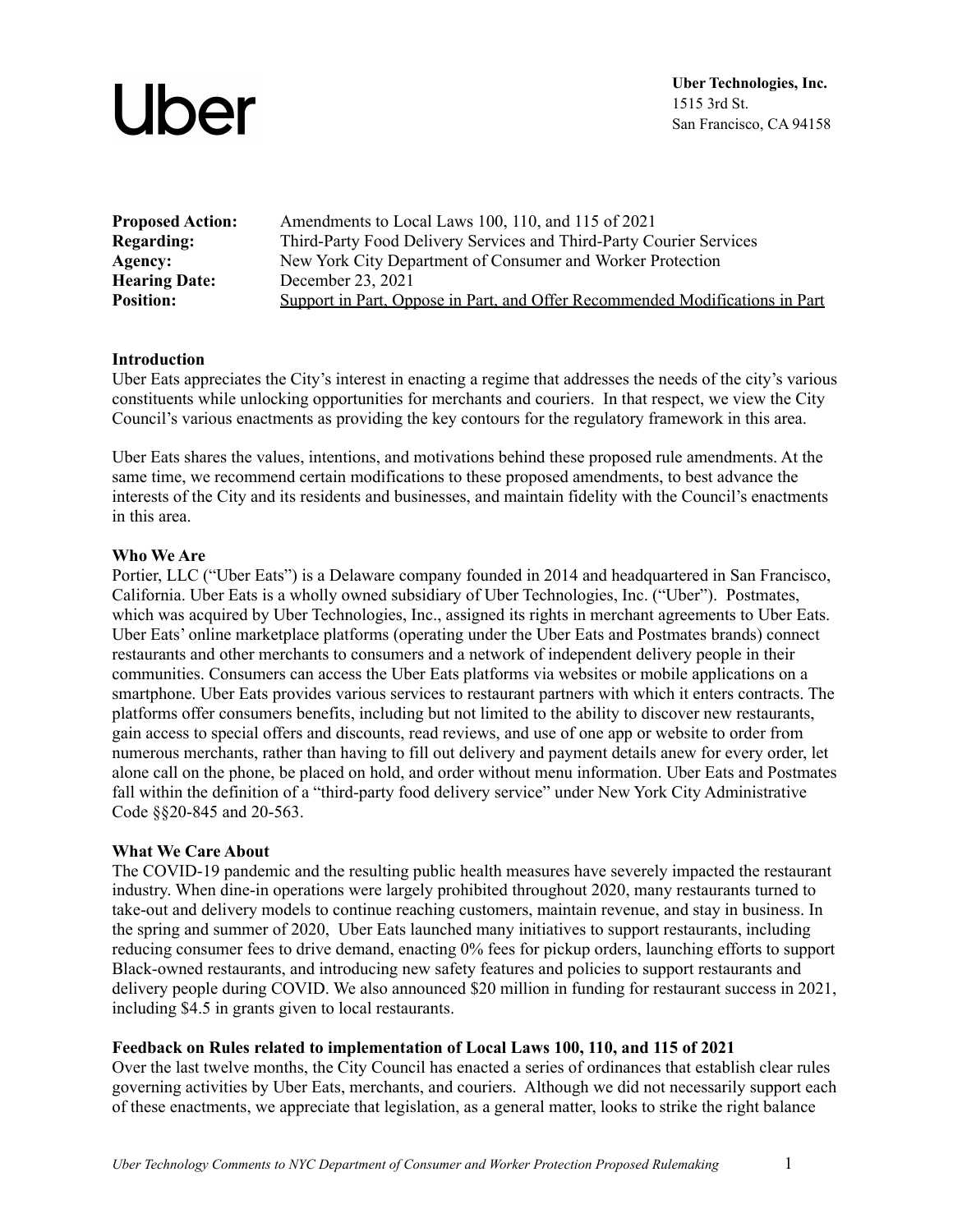| <b>Proposed Action:</b> | Amendments to Local Laws 100, 110, and 115 of 2021                           |
|-------------------------|------------------------------------------------------------------------------|
| <b>Regarding:</b>       | Third-Party Food Delivery Services and Third-Party Courier Services          |
| Agency:                 | New York City Department of Consumer and Worker Protection                   |
| <b>Hearing Date:</b>    | December 23, 2021                                                            |
| <b>Position:</b>        | Support in Part, Oppose in Part, and Offer Recommended Modifications in Part |
|                         |                                                                              |

#### **Introduction**

Uber Eats appreciates the City's interest in enacting a regime that addresses the needs of the city's various constituents while unlocking opportunities for merchants and couriers. In that respect, we view the City Council's various enactments as providing the key contours for the regulatory framework in this area.

Uber Eats shares the values, intentions, and motivations behind these proposed rule amendments. At the same time, we recommend certain modifications to these proposed amendments, to best advance the interests of the City and its residents and businesses, and maintain fidelity with the Council's enactments in this area.

#### **Who We Are**

Portier, LLC ("Uber Eats") is a Delaware company founded in 2014 and headquartered in San Francisco, California. Uber Eats is a wholly owned subsidiary of Uber Technologies, Inc. ("Uber"). Postmates, which was acquired by Uber Technologies, Inc., assigned its rights in merchant agreements to Uber Eats. Uber Eats' online marketplace platforms (operating under the Uber Eats and Postmates brands) connect restaurants and other merchants to consumers and a network of independent delivery people in their communities. Consumers can access the Uber Eats platforms via websites or mobile applications on a smartphone. Uber Eats provides various services to restaurant partners with which it enters contracts. The platforms offer consumers benefits, including but not limited to the ability to discover new restaurants, gain access to special offers and discounts, read reviews, and use of one app or website to order from numerous merchants, rather than having to fill out delivery and payment details anew for every order, let alone call on the phone, be placed on hold, and order without menu information. Uber Eats and Postmates fall within the definition of a "third-party food delivery service" under New York City Administrative Code §§20-845 and 20-563.

#### **What We Care About**

The COVID-19 pandemic and the resulting public health measures have severely impacted the restaurant industry. When dine-in operations were largely prohibited throughout 2020, many restaurants turned to take-out and delivery models to continue reaching customers, maintain revenue, and stay in business. In the spring and summer of 2020, Uber Eats launched many initiatives to support restaurants, including reducing consumer fees to drive demand, enacting 0% fees for pickup orders, launching efforts to support Black-owned restaurants, and introducing new safety features and policies to support restaurants and delivery people during COVID. We also announced \$20 million in funding for restaurant success in 2021, including \$4.5 in grants given to local restaurants.

#### **Feedback on Rules related to implementation of Local Laws 100, 110, and 115 of 2021**

Over the last twelve months, the City Council has enacted a series of ordinances that establish clear rules governing activities by Uber Eats, merchants, and couriers. Although we did not necessarily support each of these enactments, we appreciate that legislation, as a general matter, looks to strike the right balance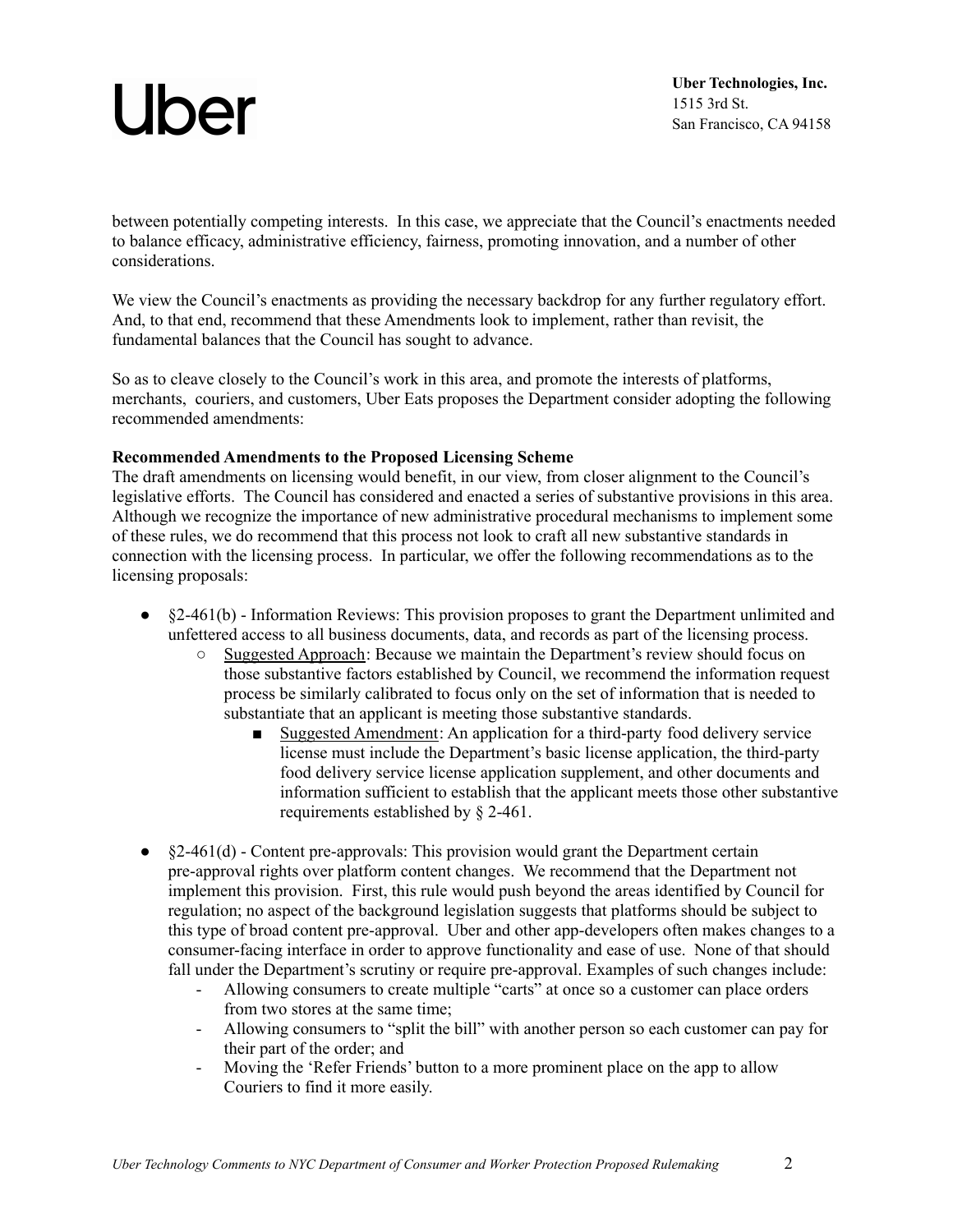**Uber Technologies, Inc.** 1515 3rd St. San Francisco, CA 94158

between potentially competing interests. In this case, we appreciate that the Council's enactments needed to balance efficacy, administrative efficiency, fairness, promoting innovation, and a number of other considerations.

We view the Council's enactments as providing the necessary backdrop for any further regulatory effort. And, to that end, recommend that these Amendments look to implement, rather than revisit, the fundamental balances that the Council has sought to advance.

So as to cleave closely to the Council's work in this area, and promote the interests of platforms, merchants, couriers, and customers, Uber Eats proposes the Department consider adopting the following recommended amendments:

#### **Recommended Amendments to the Proposed Licensing Scheme**

The draft amendments on licensing would benefit, in our view, from closer alignment to the Council's legislative efforts. The Council has considered and enacted a series of substantive provisions in this area. Although we recognize the importance of new administrative procedural mechanisms to implement some of these rules, we do recommend that this process not look to craft all new substantive standards in connection with the licensing process. In particular, we offer the following recommendations as to the licensing proposals:

- §2-461(b) Information Reviews: This provision proposes to grant the Department unlimited and unfettered access to all business documents, data, and records as part of the licensing process.
	- Suggested Approach: Because we maintain the Department's review should focus on those substantive factors established by Council, we recommend the information request process be similarly calibrated to focus only on the set of information that is needed to substantiate that an applicant is meeting those substantive standards.
		- Suggested Amendment: An application for a third-party food delivery service license must include the Department's basic license application, the third-party food delivery service license application supplement, and other documents and information sufficient to establish that the applicant meets those other substantive requirements established by § 2-461.
- $\bullet$  §2-461(d) Content pre-approvals: This provision would grant the Department certain pre-approval rights over platform content changes. We recommend that the Department not implement this provision. First, this rule would push beyond the areas identified by Council for regulation; no aspect of the background legislation suggests that platforms should be subject to this type of broad content pre-approval. Uber and other app-developers often makes changes to a consumer-facing interface in order to approve functionality and ease of use. None of that should fall under the Department's scrutiny or require pre-approval. Examples of such changes include:
	- Allowing consumers to create multiple "carts" at once so a customer can place orders from two stores at the same time;
	- Allowing consumers to "split the bill" with another person so each customer can pay for their part of the order; and
	- Moving the 'Refer Friends' button to a more prominent place on the app to allow Couriers to find it more easily.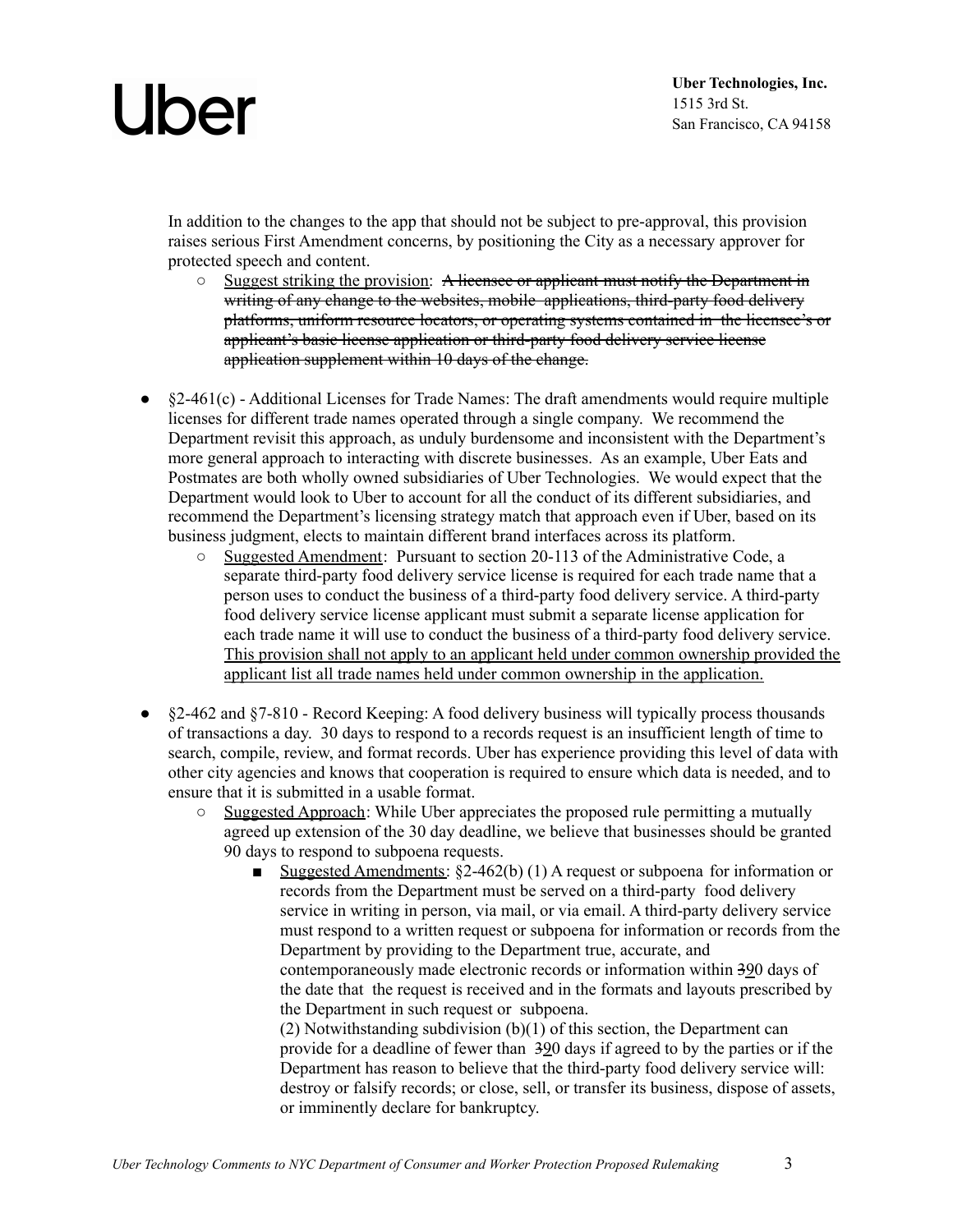In addition to the changes to the app that should not be subject to pre-approval, this provision raises serious First Amendment concerns, by positioning the City as a necessary approver for protected speech and content.

- Suggest striking the provision: A licensee or applicant must notify the Department in writing of any change to the websites, mobile applications, third-party food delivery platforms, uniform resource locators, or operating systems contained in the licensee's or applicant's basic license application or third-party food delivery service license application supplement within 10 days of the change.
- $\S2-461(c)$  Additional Licenses for Trade Names: The draft amendments would require multiple licenses for different trade names operated through a single company. We recommend the Department revisit this approach, as unduly burdensome and inconsistent with the Department's more general approach to interacting with discrete businesses. As an example, Uber Eats and Postmates are both wholly owned subsidiaries of Uber Technologies. We would expect that the Department would look to Uber to account for all the conduct of its different subsidiaries, and recommend the Department's licensing strategy match that approach even if Uber, based on its business judgment, elects to maintain different brand interfaces across its platform.
	- Suggested Amendment: Pursuant to section 20-113 of the Administrative Code, a separate third-party food delivery service license is required for each trade name that a person uses to conduct the business of a third-party food delivery service. A third-party food delivery service license applicant must submit a separate license application for each trade name it will use to conduct the business of a third-party food delivery service. This provision shall not apply to an applicant held under common ownership provided the applicant list all trade names held under common ownership in the application.
- $\&$  2-462 and  $\&$  7-810 Record Keeping: A food delivery business will typically process thousands of transactions a day. 30 days to respond to a records request is an insufficient length of time to search, compile, review, and format records. Uber has experience providing this level of data with other city agencies and knows that cooperation is required to ensure which data is needed, and to ensure that it is submitted in a usable format.<br>  $\circ$  Suggested Annroach: While Uher and
	- Suggested Approach: While Uber appreciates the proposed rule permitting a mutually agreed up extension of the 30 day deadline, we believe that businesses should be granted 90 days to respond to subpoena requests.
		- Suggested Amendments: §2-462(b) (1) A request or subpoena for information or records from the Department must be served on a third-party food delivery service in writing in person, via mail, or via email. A third-party delivery service must respond to a written request or subpoena for information or records from the Department by providing to the Department true, accurate, and contemporaneously made electronic records or information within 390 days of the date that the request is received and in the formats and layouts prescribed by the Department in such request or subpoena. (2) Notwithstanding subdivision (b)(1) of this section, the Department can provide for a deadline of fewer than 390 days if agreed to by the parties or if the

Department has reason to believe that the third-party food delivery service will: destroy or falsify records; or close, sell, or transfer its business, dispose of assets, or imminently declare for bankruptcy.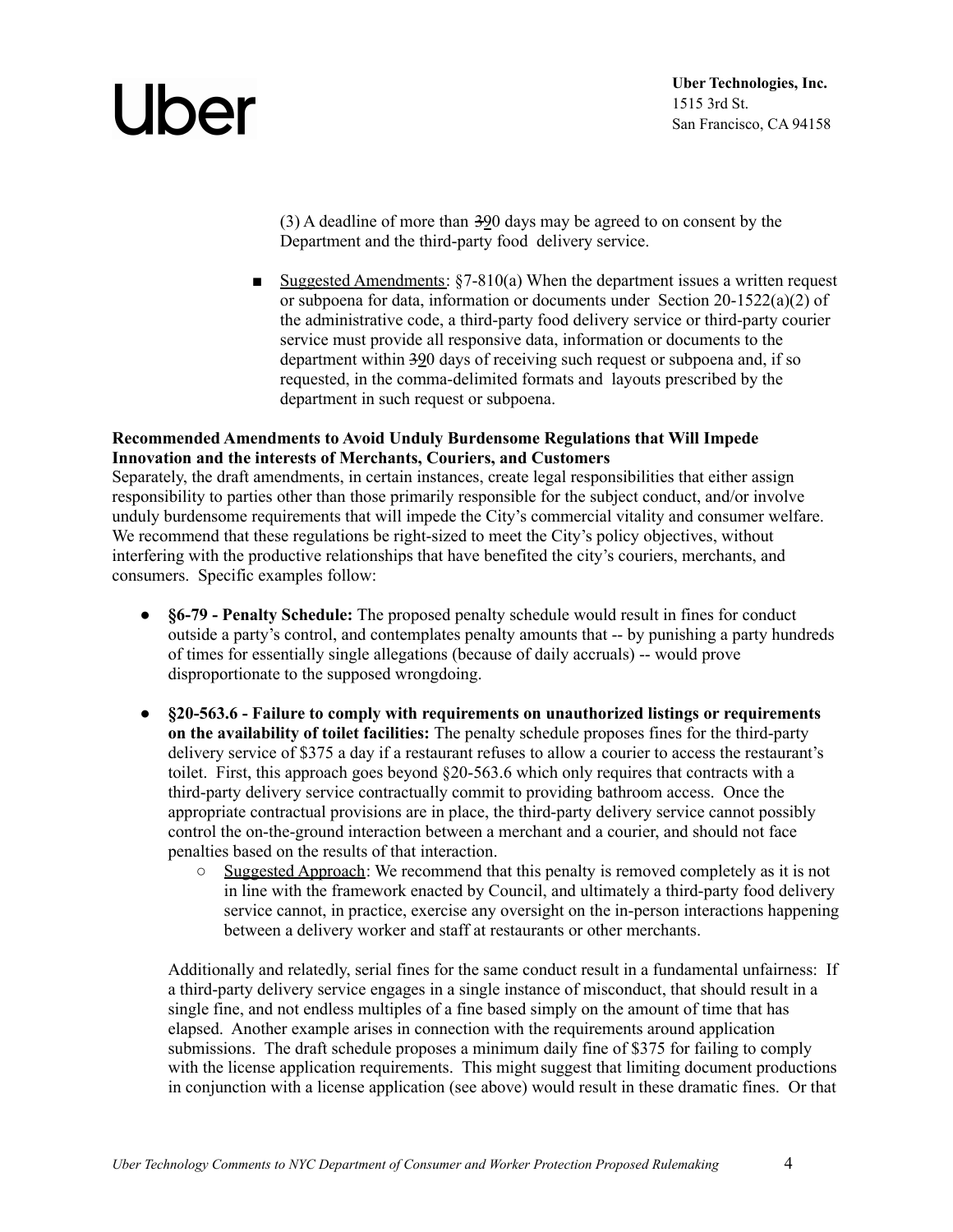(3) A deadline of more than  $\frac{300}{90}$  days may be agreed to on consent by the Department and the third-party food delivery service.

■ Suggested Amendments: §7-810(a) When the department issues a written request or subpoena for data, information or documents under Section 20-1522(a)(2) of the administrative code, a third-party food delivery service or third-party courier service must provide all responsive data, information or documents to the department within 390 days of receiving such request or subpoena and, if so requested, in the comma-delimited formats and layouts prescribed by the department in such request or subpoena.

#### **Recommended Amendments to Avoid Unduly Burdensome Regulations that Will Impede Innovation and the interests of Merchants, Couriers, and Customers**

Separately, the draft amendments, in certain instances, create legal responsibilities that either assign responsibility to parties other than those primarily responsible for the subject conduct, and/or involve unduly burdensome requirements that will impede the City's commercial vitality and consumer welfare. We recommend that these regulations be right-sized to meet the City's policy objectives, without interfering with the productive relationships that have benefited the city's couriers, merchants, and consumers. Specific examples follow:

- **§6-79 - Penalty Schedule:** The proposed penalty schedule would result in fines for conduct outside a party's control, and contemplates penalty amounts that -- by punishing a party hundreds of times for essentially single allegations (because of daily accruals) -- would prove disproportionate to the supposed wrongdoing.
- **§20-563.6 - Failure to comply with requirements on unauthorized listings or requirements on the availability of toilet facilities:** The penalty schedule proposes fines for the third-party delivery service of \$375 a day if a restaurant refuses to allow a courier to access the restaurant's toilet. First, this approach goes beyond §20-563.6 which only requires that contracts with a third-party delivery service contractually commit to providing bathroom access. Once the appropriate contractual provisions are in place, the third-party delivery service cannot possibly control the on-the-ground interaction between a merchant and a courier, and should not face penalties based on the results of that interaction.
	- $\circ$  Suggested Approach: We recommend that this penalty is removed completely as it is not in line with the framework enacted by Council, and ultimately a third-party food delivery service cannot, in practice, exercise any oversight on the in-person interactions happening between a delivery worker and staff at restaurants or other merchants.

Additionally and relatedly, serial fines for the same conduct result in a fundamental unfairness: If a third-party delivery service engages in a single instance of misconduct, that should result in a single fine, and not endless multiples of a fine based simply on the amount of time that has elapsed. Another example arises in connection with the requirements around application submissions. The draft schedule proposes a minimum daily fine of \$375 for failing to comply with the license application requirements. This might suggest that limiting document productions in conjunction with a license application (see above) would result in these dramatic fines. Or that